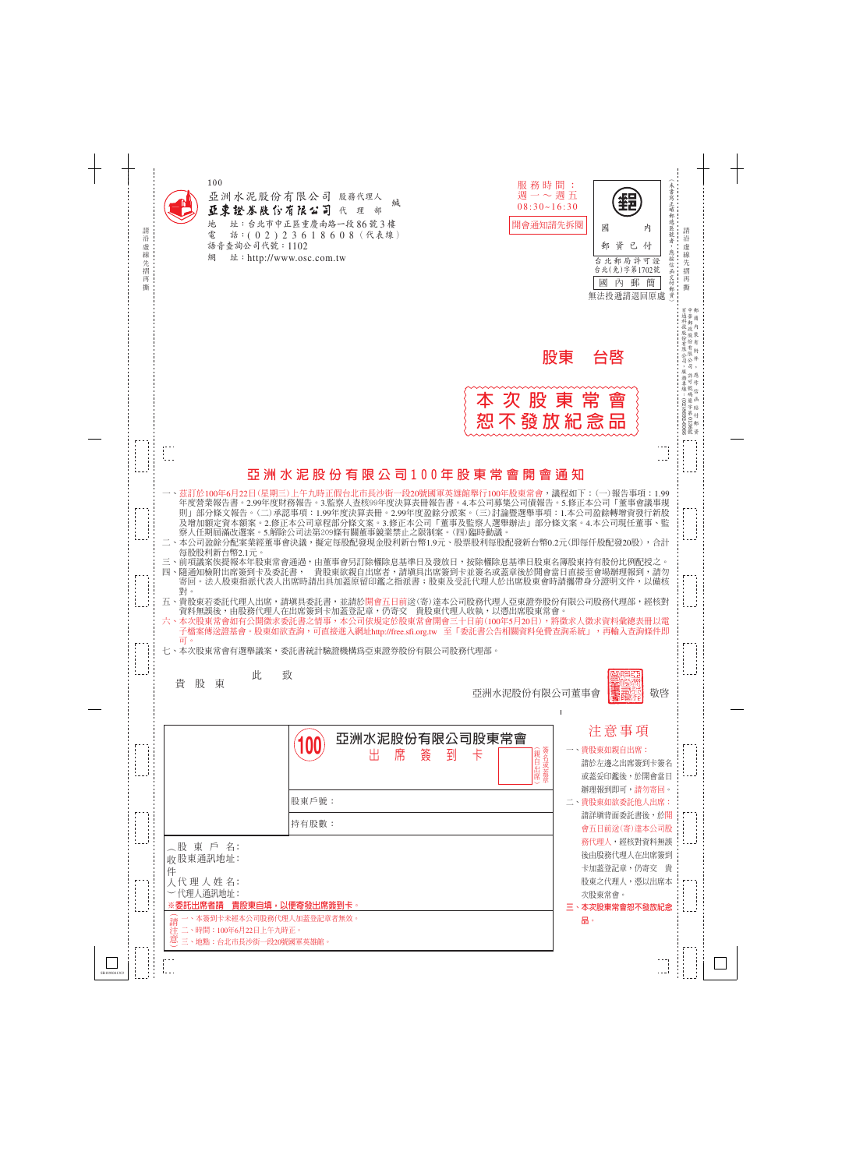